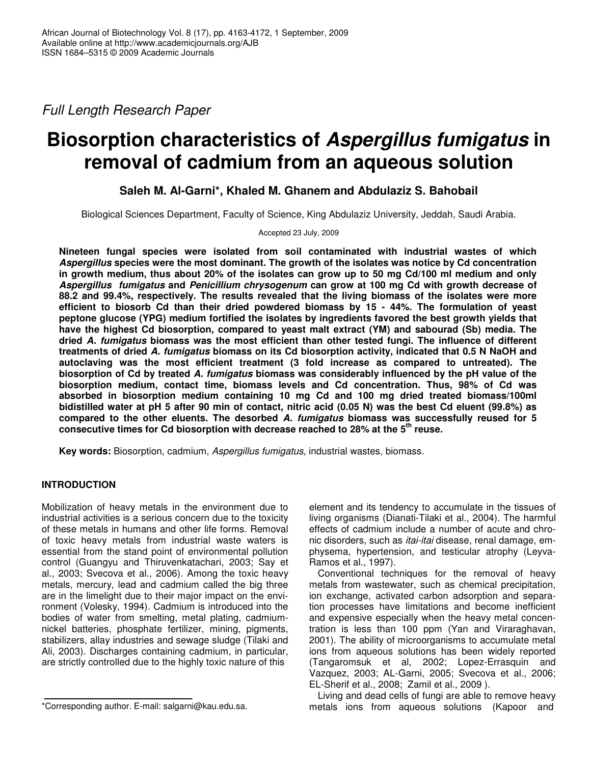*Full Length Research Paper*

# **Biosorption characteristics of** *Aspergillus fumigatus* **in removal of cadmium from an aqueous solution**

# **Saleh M. Al-Garni\*, Khaled M. Ghanem and Abdulaziz S. Bahobail**

Biological Sciences Department, Faculty of Science, King Abdulaziz University, Jeddah, Saudi Arabia.

# Accepted 23 July, 2009

**Nineteen fungal species were isolated from soil contaminated with industrial wastes of which** *Aspergillus* **species were the most dominant. The growth of the isolates was notice by Cd concentration** in growth medium, thus about 20% of the isolates can grow up to 50 mg Cd/100 ml medium and only *Aspergillus fumigatus* **and** *Penicillium chrysogenum* **can grow at 100 mg Cd with growth decrease of 88.2 and 99.4%, respectively. The results revealed that the living biomass of the isolates were more efficient to biosorb Cd than their dried powdered biomass by 15 - 44%. The formulation of yeast peptone glucose (YPG) medium fortified the isolates by ingredients favored the best growth yields that have the highest Cd biosorption, compared to yeast malt extract (YM) and sabourad (Sb) media. The dried** *A. fumigatus* **biomass was the most efficient than other tested fungi. The influence of different treatments of dried** *A. fumigatus* **biomass on its Cd biosorption activity, indicated that 0.5 N NaOH and autoclaving was the most efficient treatment (3 fold increase as compared to untreated). The biosorption of Cd by treated** *A. fumigatus* **biomass was considerably influenced by the pH value of the biosorption medium, contact time, biomass levels and Cd concentration. Thus, 98% of Cd was absorbed in biosorption medium containing 10 mg Cd and 100 mg dried treated biomass/100ml** bidistilled water at pH 5 after 90 min of contact, nitric acid (0.05 N) was the best Cd eluent (99.8%) as **compared to the other eluents. The desorbed** *A. fumigatus* **biomass was successfully reused for 5 consecutive times for Cd biosorption with decrease reached to 28% at the 5 th reuse.**

**Key words:** Biosorption, cadmium, *Aspergillus fumigatus*, industrial wastes, biomass.

# **INTRODUCTION**

Mobilization of heavy metals in the environment due to industrial activities is a serious concern due to the toxicity of these metals in humans and other life forms. Removal of toxic heavy metals from industrial waste waters is essential from the stand point of environmental pollution control (Guangyu and Thiruvenkatachari, 2003; Say et al., 2003; Svecova et al., 2006). Among the toxic heavy metals, mercury, lead and cadmium called the big three are in the limelight due to their major impact on the environment (Volesky, 1994). Cadmium is introduced into the bodies of water from smelting, metal plating, cadmiumnickel batteries, phosphate fertilizer, mining, pigments, stabilizers, allay industries and sewage sludge (Tilaki and Ali, 2003). Discharges containing cadmium, in particular, are strictly controlled due to the highly toxic nature of this

element and its tendency to accumulate in the tissues of living organisms (Dianati-Tilaki et al., 2004). The harmful effects of cadmium include a number of acute and chronic disorders, such as *itai-itai* disease, renal damage, emphysema, hypertension, and testicular atrophy (Leyva-Ramos et al., 1997).

Conventional techniques for the removal of heavy metals from wastewater, such as chemical precipitation, ion exchange, activated carbon adsorption and separation processes have limitations and become inefficient and expensive especially when the heavy metal concentration is less than 100 ppm (Yan and Viraraghavan, 2001). The ability of microorganisms to accumulate metal ions from aqueous solutions has been widely reported (Tangaromsuk et al, 2002; Lopez-Errasquin and Vazquez, 2003; AL-Garni, 2005; Svecova et al., 2006; EL-Sherif et al., 2008; Zamil et al., 2009 ).

Living and dead cells of fungi are able to remove heavy metals ions from aqueous solutions (Kapoor and

<sup>\*</sup>Corresponding author. E-mail: salgarni@kau.edu.sa.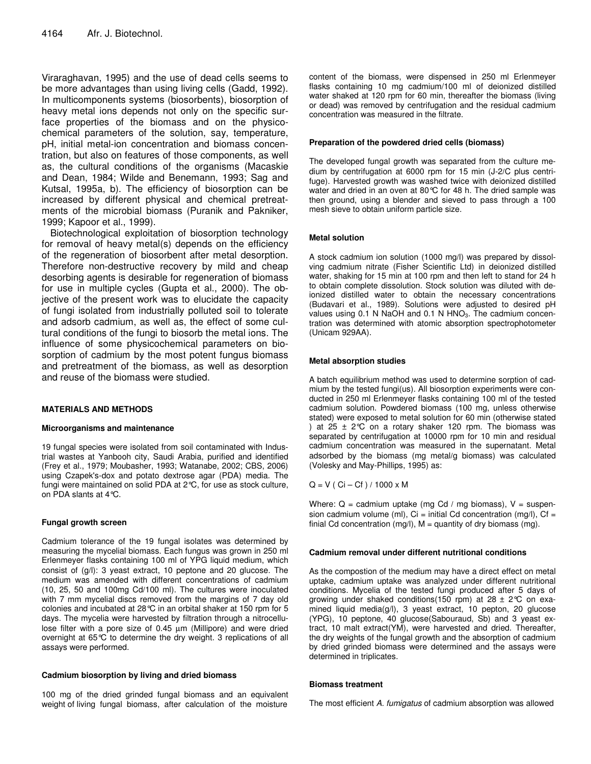Viraraghavan, 1995) and the use of dead cells seems to be more advantages than using living cells (Gadd, 1992). In multicomponents systems (biosorbents), biosorption of heavy metal ions depends not only on the specific surface properties of the biomass and on the physicochemical parameters of the solution, say, temperature, pH, initial metal-ion concentration and biomass concentration, but also on features of those components, as well as, the cultural conditions of the organisms (Macaskie and Dean, 1984; Wilde and Benemann, 1993; Sag and Kutsal, 1995a, b). The efficiency of biosorption can be increased by different physical and chemical pretreatments of the microbial biomass (Puranik and Pakniker, 1999; Kapoor et al., 1999).

Biotechnological exploitation of biosorption technology for removal of heavy metal(s) depends on the efficiency of the regeneration of biosorbent after metal desorption. Therefore non-destructive recovery by mild and cheap desorbing agents is desirable for regeneration of biomass for use in multiple cycles (Gupta et al., 2000). The objective of the present work was to elucidate the capacity of fungi isolated from industrially polluted soil to tolerate and adsorb cadmium, as well as, the effect of some cultural conditions of the fungi to biosorb the metal ions. The influence of some physicochemical parameters on biosorption of cadmium by the most potent fungus biomass and pretreatment of the biomass, as well as desorption and reuse of the biomass were studied.

# **MATERIALS AND METHODS**

#### **Microorganisms and maintenance**

19 fungal species were isolated from soil contaminated with Industrial wastes at Yanbooh city, Saudi Arabia, purified and identified (Frey et al., 1979; Moubasher, 1993; Watanabe, 2002; CBS, 2006) using Czapek's-dox and potato dextrose agar (PDA) media. The fungi were maintained on solid PDA at 2°C, for use as stock culture, on PDA slants at 4°C.

# **Fungal growth screen**

Cadmium tolerance of the 19 fungal isolates was determined by measuring the mycelial biomass. Each fungus was grown in 250 ml Erlenmeyer flasks containing 100 ml of YPG liquid medium, which consist of (g/l): 3 yeast extract, 10 peptone and 20 glucose. The medium was amended with different concentrations of cadmium (10, 25, 50 and 100mg Cd/100 ml). The cultures were inoculated with 7 mm mycelial discs removed from the margins of 7 day old colonies and incubated at 28°C in an orbital shaker at 150 rpm for 5 days. The mycelia were harvested by filtration through a nitrocellulose filter with a pore size of 0.45 µm (Millipore) and were dried overnight at 65°C to determine the dry weight. 3 replications of all assays were performed.

#### **Cadmium biosorption by living and dried biomass**

100 mg of the dried grinded fungal biomass and an equivalent weight of living fungal biomass, after calculation of the moisture

content of the biomass, were dispensed in 250 ml Erlenmeyer flasks containing 10 mg cadmium/100 ml of deionized distilled water shaked at 120 rpm for 60 min, thereafter the biomass (living or dead) was removed by centrifugation and the residual cadmium concentration was measured in the filtrate.

#### **Preparation of the powdered dried cells (biomass)**

The developed fungal growth was separated from the culture medium by centrifugation at 6000 rpm for 15 min (J-2/C plus centrifuge). Harvested growth was washed twice with deionized distilled water and dried in an oven at 80°C for 48 h. The dried sample was then ground, using a blender and sieved to pass through a 100 mesh sieve to obtain uniform particle size.

#### **Metal solution**

A stock cadmium ion solution (1000 mg/l) was prepared by dissolving cadmium nitrate (Fisher Scientific Ltd) in deionized distilled water, shaking for 15 min at 100 rpm and then left to stand for 24 h to obtain complete dissolution. Stock solution was diluted with deionized distilled water to obtain the necessary concentrations (Budavari et al., 1989). Solutions were adjusted to desired pH values using 0.1 N NaOH and 0.1 N HNO<sub>3</sub>. The cadmium concentration was determined with atomic absorption spectrophotometer (Unicam 929AA).

# **Metal absorption studies**

A batch equilibrium method was used to determine sorption of cadmium by the tested fungi(us). All biosorption experiments were conducted in 250 ml Erlenmeyer flasks containing 100 ml of the tested cadmium solution. Powdered biomass (100 mg, unless otherwise stated) were exposed to metal solution for 60 min (otherwise stated ) at 25  $\pm$  2°C on a rotary shaker 120 rpm. The biomass was separated by centrifugation at 10000 rpm for 10 min and residual cadmium concentration was measured in the supernatant. Metal adsorbed by the biomass (mg metal/g biomass) was calculated (Volesky and May-Phillips, 1995) as:

 $Q = V ( Ci - Cf) / 1000 x M$ 

Where:  $Q = \text{cadrium uptake (mg Cd / mg biomass)}$ ,  $V = \text{suspen-}$ sion cadmium volume (ml),  $Ci = initial Cd concentration (mg/l)$ ,  $Cf =$ finial Cd concentration (mg/l),  $M =$  quantity of dry biomass (mg).

#### **Cadmium removal under different nutritional conditions**

As the compostion of the medium may have a direct effect on metal uptake, cadmium uptake was analyzed under different nutritional conditions. Mycelia of the tested fungi produced after 5 days of growing under shaked conditions(150 rpm) at  $28 \pm 2^{\circ}$ C on examined liquid media(g/l), 3 yeast extract, 10 pepton, 20 glucose (YPG), 10 peptone, 40 glucose(Sabouraud, Sb) and 3 yeast extract, 10 malt extract(YM), were harvested and dried. Thereafter, the dry weights of the fungal growth and the absorption of cadmium by dried grinded biomass were determined and the assays were determined in triplicates.

#### **Biomass treatment**

The most efficient *A. fumigatus* of cadmium absorption was allowed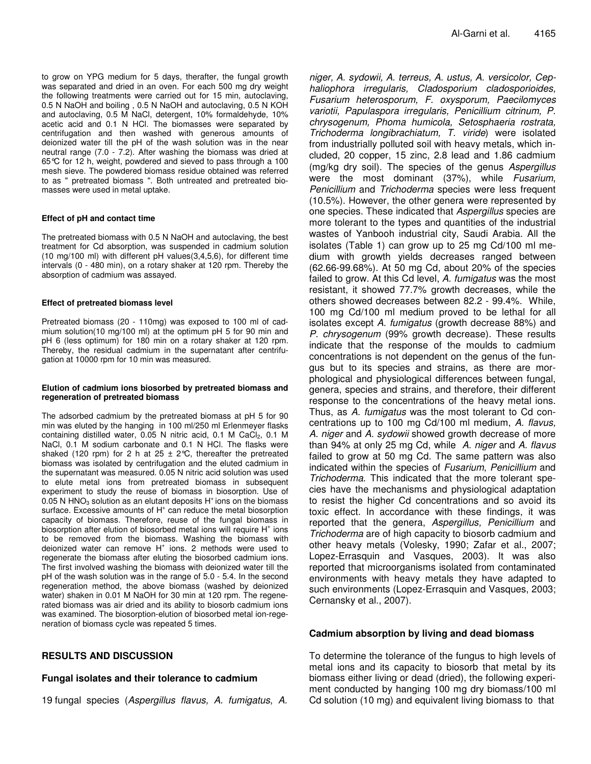to grow on YPG medium for 5 days, therafter, the fungal growth was separated and dried in an oven. For each 500 mg dry weight the following treatments were carried out for 15 min, autoclaving, 0.5 N NaOH and boiling , 0.5 N NaOH and autoclaving, 0.5 N KOH and autoclaving, 0.5 M NaCl, detergent, 10% formaldehyde, 10% acetic acid and 0.1 N HCl. The biomasses were separated by centrifugation and then washed with generous amounts of deionized water till the pH of the wash solution was in the near neutral range (7.0 - 7.2). After washing the biomass was dried at 65°C for 12 h, weight, powdered and sieved to pass through a 100 mesh sieve. The powdered biomass residue obtained was referred to as " pretreated biomass ". Both untreated and pretreated biomasses were used in metal uptake.

#### **Effect of pH and contact time**

The pretreated biomass with 0.5 N NaOH and autoclaving, the best treatment for Cd absorption, was suspended in cadmium solution (10 mg/100 ml) with different pH values(3,4,5,6), for different time intervals (0 - 480 min), on a rotary shaker at 120 rpm. Thereby the absorption of cadmium was assayed.

#### **Effect of pretreated biomass level**

Pretreated biomass (20 - 110mg) was exposed to 100 ml of cadmium solution(10 mg/100 ml) at the optimum pH 5 for 90 min and pH 6 (less optimum) for 180 min on a rotary shaker at 120 rpm. Thereby, the residual cadmium in the supernatant after centrifugation at 10000 rpm for 10 min was measured.

#### **Elution of cadmium ions biosorbed by pretreated biomass and regeneration of pretreated biomass**

The adsorbed cadmium by the pretreated biomass at pH 5 for 90 min was eluted by the hanging in 100 ml/250 ml Erlenmeyer flasks containing distilled water, 0.05 N nitric acid, 0.1 M CaCl<sub>2</sub>, 0.1 M NaCl, 0.1 M sodium carbonate and 0.1 N HCl. The flasks were shaked (120 rpm) for 2 h at 25  $\pm$  2°C, thereafter the pretreated biomass was isolated by centrifugation and the eluted cadmium in the supernatant was measured. 0.05 N nitric acid solution was used to elute metal ions from pretreated biomass in subsequent experiment to study the reuse of biomass in biosorption. Use of 0.05 N HNO<sub>3</sub> solution as an elutant deposits  $H^*$  ions on the biomass surface. Excessive amounts of H<sup>+</sup> can reduce the metal biosorption capacity of biomass. Therefore, reuse of the fungal biomass in biosorption after elution of biosorbed metal ions will require H<sup>+</sup> ions to be removed from the biomass. Washing the biomass with deionized water can remove H<sup>+</sup> ions. 2 methods were used to regenerate the biomass after eluting the biosorbed cadmium ions. The first involved washing the biomass with deionized water till the pH of the wash solution was in the range of 5.0 - 5.4. In the second regeneration method, the above biomass (washed by deionized water) shaken in 0.01 M NaOH for 30 min at 120 rpm. The regenerated biomass was air dried and its ability to biosorb cadmium ions was examined. The biosorption-elution of biosorbed metal ion-regeneration of biomass cycle was repeated 5 times.

# **RESULTS AND DISCUSSION**

#### **Fungal isolates and their tolerance to cadmium**

19 fungal species (*Aspergillus flavus, A. fumigatus*, *A.*

*niger, A. sydowii, A. terreus, A. ustus, A. versicolor, Cephaliophora irregularis, Cladosporium cladosporioides, Fusarium heterosporum, F. oxysporum, Paecilomyces variotii, Papulaspora irregularis, Penicillium citrinum, P. chrysogenum, Phoma humicola, Setosphaeria rostrata, Trichoderma longibrachiatum, T. viride*) were isolated from industrially polluted soil with heavy metals, which included, 20 copper, 15 zinc, 2.8 lead and 1.86 cadmium (mg/kg dry soil). The species of the genus *Aspergillus* were the most dominant (37%), while *Fusarium*, *Penicillium* and *Trichoderma* species were less frequent (10.5%). However, the other genera were represented by one species. These indicated that *Aspergillus* species are more tolerant to the types and quantities of the industrial wastes of Yanbooh industrial city, Saudi Arabia. All the isolates (Table 1) can grow up to 25 mg Cd/100 ml medium with growth yields decreases ranged between (62.66-99.68%). At 50 mg Cd, about 20% of the species failed to grow. At this Cd level, *A. fumigatus* was the most resistant, it showed 77.7% growth decreases, while the others showed decreases between 82.2 - 99.4%. While, 100 mg Cd/100 ml medium proved to be lethal for all isolates except *A. fumigatus* (growth decrease 88%) and *P. chrysogenum* (99% growth decrease). These results indicate that the response of the moulds to cadmium concentrations is not dependent on the genus of the fungus but to its species and strains, as there are morphological and physiological differences between fungal, genera, species and strains, and therefore, their different response to the concentrations of the heavy metal ions. Thus, as *A. fumigatus* was the most tolerant to Cd concentrations up to 100 mg Cd/100 ml medium, *A. flavus, A. niger* and *A. sydowii* showed growth decrease of more than 94% at only 25 mg Cd, while *A. niger* and *A. flavus* failed to grow at 50 mg Cd. The same pattern was also indicated within the species of *Fusarium*, *Penicillium* and *Trichoderma*. This indicated that the more tolerant species have the mechanisms and physiological adaptation to resist the higher Cd concentrations and so avoid its toxic effect. In accordance with these findings, it was reported that the genera, *Aspergillus, Penicillium* and *Trichoderma* are of high capacity to biosorb cadmium and other heavy metals (Volesky, 1990; Zafar et al., 2007; Lopez-Errasquin and Vasques, 2003). It was also reported that microorganisms isolated from contaminated environments with heavy metals they have adapted to such environments (Lopez-Errasquin and Vasques, 2003; Cernansky et al., 2007).

# **Cadmium absorption by living and dead biomass**

To determine the tolerance of the fungus to high levels of metal ions and its capacity to biosorb that metal by its biomass either living or dead (dried), the following experiment conducted by hanging 100 mg dry biomass/100 ml Cd solution (10 mg) and equivalent living biomass to that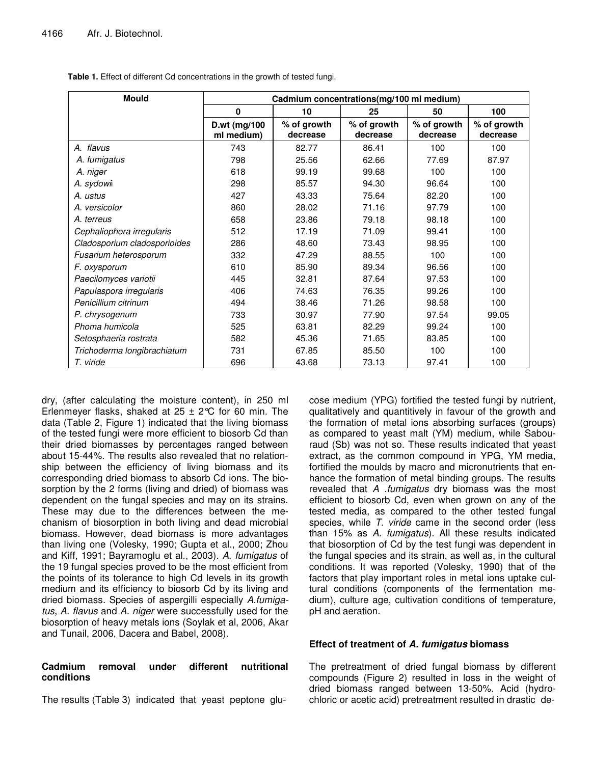| <b>Mould</b>                 | Cadmium concentrations(mg/100 ml medium) |                         |                         |                         |                         |  |  |
|------------------------------|------------------------------------------|-------------------------|-------------------------|-------------------------|-------------------------|--|--|
|                              | $\mathbf{0}$                             | 10                      | 25                      | 50                      | 100                     |  |  |
|                              | D.wt (mg/100<br>ml medium)               | % of growth<br>decrease | % of growth<br>decrease | % of growth<br>decrease | % of growth<br>decrease |  |  |
| A. flavus                    | 743                                      | 82.77                   | 86.41                   | 100                     | 100                     |  |  |
| A. fumigatus                 | 798                                      | 25.56                   | 62.66                   | 77.69                   | 87.97                   |  |  |
| A. niger                     | 618                                      | 99.19                   | 99.68                   | 100                     | 100                     |  |  |
| A. sydowii                   | 298                                      | 85.57                   | 94.30                   | 96.64                   | 100                     |  |  |
| A. ustus                     | 427                                      | 43.33                   | 75.64                   | 82.20                   | 100                     |  |  |
| A. versicolor                | 860                                      | 28.02                   | 71.16                   | 97.79                   | 100                     |  |  |
| A. terreus                   | 658                                      | 23.86                   | 79.18                   | 98.18                   | 100                     |  |  |
| Cephaliophora irregularis    | 512                                      | 17.19                   | 71.09                   | 99.41                   | 100                     |  |  |
| Cladosporium cladosporioides | 286                                      | 48.60                   | 73.43                   | 98.95                   | 100                     |  |  |
| Fusarium heterosporum        | 332                                      | 47.29                   | 88.55                   | 100                     | 100                     |  |  |
| F. oxysporum                 | 610                                      | 85.90                   | 89.34                   | 96.56                   | 100                     |  |  |
| Paecilomyces variotii        | 445                                      | 32.81                   | 87.64                   | 97.53                   | 100                     |  |  |
| Papulaspora irregularis      | 406                                      | 74.63                   | 76.35                   | 99.26                   | 100                     |  |  |
| Penicillium citrinum         | 494                                      | 38.46                   | 71.26                   | 98.58                   | 100                     |  |  |
| P. chrysogenum               | 733                                      | 30.97                   | 77.90                   | 97.54                   | 99.05                   |  |  |
| Phoma humicola               | 525                                      | 63.81                   | 82.29                   | 99.24                   | 100                     |  |  |
| Setosphaeria rostrata        | 582                                      | 45.36                   | 71.65                   | 83.85                   | 100                     |  |  |
| Trichoderma longibrachiatum  | 731                                      | 67.85                   | 85.50                   | 100                     | 100                     |  |  |
| T. viride                    | 696                                      | 43.68                   | 73.13                   | 97.41                   | 100                     |  |  |

**Table 1.** Effect of different Cd concentrations in the growth of tested fungi.

dry, (after calculating the moisture content), in 250 ml Erlenmeyer flasks, shaked at  $25 \pm 2^{\circ}$ C for 60 min. The data (Table 2, Figure 1) indicated that the living biomass of the tested fungi were more efficient to biosorb Cd than their dried biomasses by percentages ranged between about 15-44%. The results also revealed that no relationship between the efficiency of living biomass and its corresponding dried biomass to absorb Cd ions. The biosorption by the 2 forms (living and dried) of biomass was dependent on the fungal species and may on its strains. These may due to the differences between the mechanism of biosorption in both living and dead microbial biomass. However, dead biomass is more advantages than living one (Volesky, 1990; Gupta et al., 2000; Zhou and Kiff, 1991; Bayramoglu et al., 2003). *A. fumigatus* of the 19 fungal species proved to be the most efficient from the points of its tolerance to high Cd levels in its growth medium and its efficiency to biosorb Cd by its living and dried biomass. Species of aspergilli especially *A.fumigatus*, *A. flavus* and *A. niger* were successfully used for the biosorption of heavy metals ions (Soylak et al, 2006, Akar and Tunail, 2006, Dacera and Babel, 2008).

# **Cadmium removal under different nutritional conditions**

The results (Table 3) indicated that yeast peptone glu-

cose medium (YPG) fortified the tested fungi by nutrient, qualitatively and quantitively in favour of the growth and the formation of metal ions absorbing surfaces (groups) as compared to yeast malt (YM) medium, while Sabouraud (Sb) was not so. These results indicated that yeast extract, as the common compound in YPG, YM media, fortified the moulds by macro and micronutrients that enhance the formation of metal binding groups. The results revealed that *A .fumigatus* dry biomass was the most efficient to biosorb Cd, even when grown on any of the tested media, as compared to the other tested fungal species, while *T. viride* came in the second order (less than 15% as *A. fumigatus*). All these results indicated that biosorption of Cd by the test fungi was dependent in the fungal species and its strain, as well as, in the cultural conditions. It was reported (Volesky, 1990) that of the factors that play important roles in metal ions uptake cultural conditions (components of the fermentation medium), culture age, cultivation conditions of temperature, pH and aeration.

# **Effect of treatment of** *A. fumigatus* **biomass**

The pretreatment of dried fungal biomass by different compounds (Figure 2) resulted in loss in the weight of dried biomass ranged between 13-50%. Acid (hydrochloric or acetic acid) pretreatment resulted in drastic de-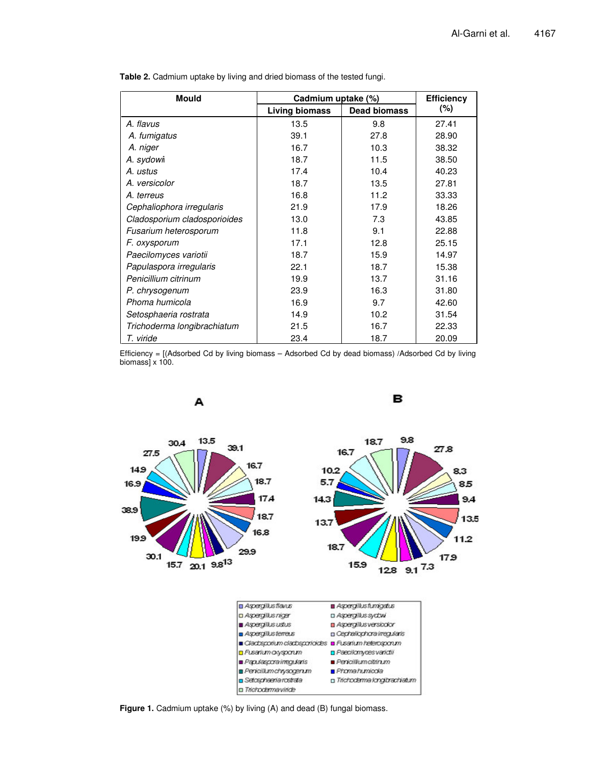| Mould                        | Cadmium uptake (%) | <b>Efficiency</b>   |        |  |
|------------------------------|--------------------|---------------------|--------|--|
|                              | Living biomass     | <b>Dead biomass</b> | $(\%)$ |  |
| A. flavus                    | 13.5               | 9.8                 | 27.41  |  |
| A. fumigatus                 | 39.1               | 27.8                | 28.90  |  |
| A. niger                     | 16.7               | 10.3                | 38.32  |  |
| A. sydowi                    | 18.7               | 11.5                | 38.50  |  |
| A. ustus                     | 17.4               | 10.4                | 40.23  |  |
| A. versicolor                | 18.7               | 13.5                | 27.81  |  |
| A. terreus                   | 16.8               | 11.2                | 33.33  |  |
| Cephaliophora irregularis    | 21.9               | 17.9                | 18.26  |  |
| Cladosporium cladosporioides | 13.0               | 7.3                 | 43.85  |  |
| Fusarium heterosporum        | 11.8               | 9.1                 | 22.88  |  |
| F. oxysporum                 | 17.1               | 12.8                | 25.15  |  |
| Paecilomyces variotii        | 18.7               | 15.9                | 14.97  |  |
| Papulaspora irregularis      | 22.1               | 18.7                | 15.38  |  |
| Penicillium citrinum         | 19.9               | 13.7                | 31.16  |  |
| P. chrysogenum               | 23.9               | 16.3                | 31.80  |  |
| Phoma humicola               | 16.9               | 9.7                 | 42.60  |  |
| Setosphaeria rostrata        | 14.9               | 10.2                | 31.54  |  |
| Trichoderma longibrachiatum  | 21.5               | 16.7                | 22.33  |  |
| T. viride                    | 23.4               | 18.7                | 20.09  |  |

**Table 2.** Cadmium uptake by living and dried biomass of the tested fungi.

Efficiency = [(Adsorbed Cd by living biomass – Adsorbed Cd by dead biomass) /Adsorbed Cd by living biomass $\hat{1} \times 100$ .



**Figure 1.** Cadmium uptake (%) by living (A) and dead (B) fungal biomass.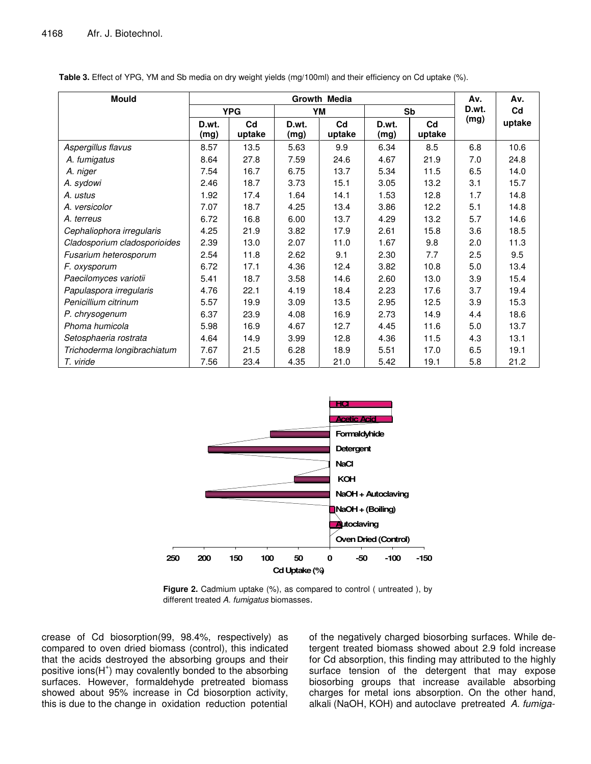| <b>Mould</b>                 | Growth Media  |              |               |              | Av.           | Av.                      |       |                |
|------------------------------|---------------|--------------|---------------|--------------|---------------|--------------------------|-------|----------------|
|                              | <b>YPG</b>    |              | YМ            |              | Sb            |                          | D.wt. | C <sub>d</sub> |
|                              | D.wt.<br>(mg) | Cd<br>uptake | D.wt.<br>(mg) | Cd<br>uptake | D.wt.<br>(mg) | C <sub>d</sub><br>uptake | (mg)  | uptake         |
| Aspergillus flavus           | 8.57          | 13.5         | 5.63          | 9.9          | 6.34          | 8.5                      | 6.8   | 10.6           |
| A. fumigatus                 | 8.64          | 27.8         | 7.59          | 24.6         | 4.67          | 21.9                     | 7.0   | 24.8           |
| A. niger                     | 7.54          | 16.7         | 6.75          | 13.7         | 5.34          | 11.5                     | 6.5   | 14.0           |
| A. sydowi                    | 2.46          | 18.7         | 3.73          | 15.1         | 3.05          | 13.2                     | 3.1   | 15.7           |
| A. ustus                     | 1.92          | 17.4         | 1.64          | 14.1         | 1.53          | 12.8                     | 1.7   | 14.8           |
| A. versicolor                | 7.07          | 18.7         | 4.25          | 13.4         | 3.86          | 12.2                     | 5.1   | 14.8           |
| A. terreus                   | 6.72          | 16.8         | 6.00          | 13.7         | 4.29          | 13.2                     | 5.7   | 14.6           |
| Cephaliophora irregularis    | 4.25          | 21.9         | 3.82          | 17.9         | 2.61          | 15.8                     | 3.6   | 18.5           |
| Cladosporium cladosporioides | 2.39          | 13.0         | 2.07          | 11.0         | 1.67          | 9.8                      | 2.0   | 11.3           |
| Fusarium heterosporum        | 2.54          | 11.8         | 2.62          | 9.1          | 2.30          | 7.7                      | 2.5   | 9.5            |
| F. oxysporum                 | 6.72          | 17.1         | 4.36          | 12.4         | 3.82          | 10.8                     | 5.0   | 13.4           |
| Paecilomyces variotii        | 5.41          | 18.7         | 3.58          | 14.6         | 2.60          | 13.0                     | 3.9   | 15.4           |
| Papulaspora irregularis      | 4.76          | 22.1         | 4.19          | 18.4         | 2.23          | 17.6                     | 3.7   | 19.4           |
| Penicillium citrinum         | 5.57          | 19.9         | 3.09          | 13.5         | 2.95          | 12.5                     | 3.9   | 15.3           |
| P. chrysogenum               | 6.37          | 23.9         | 4.08          | 16.9         | 2.73          | 14.9                     | 4.4   | 18.6           |
| Phoma humicola               | 5.98          | 16.9         | 4.67          | 12.7         | 4.45          | 11.6                     | 5.0   | 13.7           |
| Setosphaeria rostrata        | 4.64          | 14.9         | 3.99          | 12.8         | 4.36          | 11.5                     | 4.3   | 13.1           |
| Trichoderma longibrachiatum  | 7.67          | 21.5         | 6.28          | 18.9         | 5.51          | 17.0                     | 6.5   | 19.1           |
| T. viride                    | 7.56          | 23.4         | 4.35          | 21.0         | 5.42          | 19.1                     | 5.8   | 21.2           |

**Table 3.** Effect of YPG, YM and Sb media on dry weight yields (mg/100ml) and their efficiency on Cd uptake (%).



**Figure 2.** Cadmium uptake (%), as compared to control ( untreated ), by different treated *A. fumigatus* biomasses.

crease of Cd biosorption(99, 98.4%, respectively) as compared to oven dried biomass (control), this indicated that the acids destroyed the absorbing groups and their positive ions(H<sup>+</sup>) may covalently bonded to the absorbing surfaces. However, formaldehyde pretreated biomass showed about 95% increase in Cd biosorption activity, this is due to the change in oxidation reduction potential

of the negatively charged biosorbing surfaces. While detergent treated biomass showed about 2.9 fold increase for Cd absorption, this finding may attributed to the highly surface tension of the detergent that may expose biosorbing groups that increase available absorbing charges for metal ions absorption. On the other hand, alkali (NaOH, KOH) and autoclave pretreated *A. fumiga-*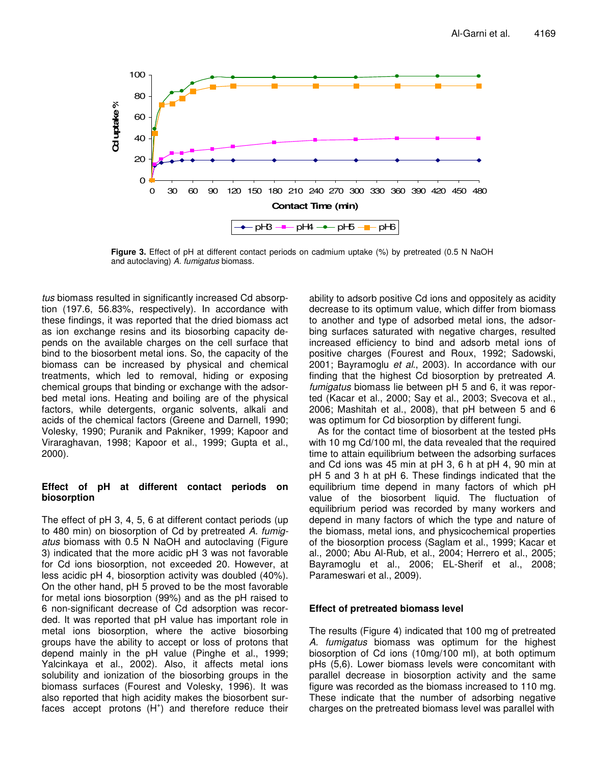

**Figure 3.** Effect of pH at different contact periods on cadmium uptake (%) by pretreated (0.5 N NaOH and autoclaving) *A. fumigatus* biomass.

*tus* biomass resulted in significantly increased Cd absorption (197.6, 56.83%, respectively). In accordance with these findings, it was reported that the dried biomass act as ion exchange resins and its biosorbing capacity depends on the available charges on the cell surface that bind to the biosorbent metal ions. So, the capacity of the biomass can be increased by physical and chemical treatments, which led to removal, hiding or exposing chemical groups that binding or exchange with the adsorbed metal ions. Heating and boiling are of the physical factors, while detergents, organic solvents, alkali and acids of the chemical factors (Greene and Darnell, 1990; Volesky, 1990; Puranik and Pakniker, 1999; Kapoor and Viraraghavan, 1998; Kapoor et al., 1999; Gupta et al., 2000).

# **Effect of pH at different contact periods on biosorption**

The effect of pH 3, 4, 5, 6 at different contact periods (up to 480 min) on biosorption of Cd by pretreated *A. fumigatus* biomass with 0.5 N NaOH and autoclaving (Figure 3) indicated that the more acidic pH 3 was not favorable for Cd ions biosorption, not exceeded 20. However, at less acidic pH 4, biosorption activity was doubled (40%). On the other hand, pH 5 proved to be the most favorable for metal ions biosorption (99%) and as the pH raised to 6 non-significant decrease of Cd adsorption was recorded. It was reported that pH value has important role in metal ions biosorption, where the active biosorbing groups have the ability to accept or loss of protons that depend mainly in the pH value (Pinghe et al., 1999; Yalcinkaya et al., 2002). Also, it affects metal ions solubility and ionization of the biosorbing groups in the biomass surfaces (Fourest and Volesky, 1996). It was also reported that high acidity makes the biosorbent surfaces accept protons (H<sup>+</sup>) and therefore reduce their

ability to adsorb positive Cd ions and oppositely as acidity decrease to its optimum value, which differ from biomass to another and type of adsorbed metal ions, the adsorbing surfaces saturated with negative charges, resulted increased efficiency to bind and adsorb metal ions of positive charges (Fourest and Roux, 1992; Sadowski, 2001; Bayramoglu *et al*., 2003). In accordance with our finding that the highest Cd biosorption by pretreated *A. fumigatus* biomass lie between pH 5 and 6, it was reported (Kacar et al., 2000; Say et al., 2003; Svecova et al., 2006; Mashitah et al., 2008), that pH between 5 and 6 was optimum for Cd biosorption by different fungi.

As for the contact time of biosorbent at the tested pHs with 10 mg Cd/100 ml, the data revealed that the required time to attain equilibrium between the adsorbing surfaces and Cd ions was 45 min at pH 3, 6 h at pH 4, 90 min at pH 5 and 3 h at pH 6. These findings indicated that the equilibrium time depend in many factors of which pH value of the biosorbent liquid. The fluctuation of equilibrium period was recorded by many workers and depend in many factors of which the type and nature of the biomass, metal ions, and physicochemical properties of the biosorption process (Saglam et al., 1999; Kacar et al., 2000; Abu Al-Rub, et al., 2004; Herrero et al., 2005; Bayramoglu et al., 2006; EL-Sherif et al., 2008; Parameswari et al., 2009).

# **Effect of pretreated biomass level**

The results (Figure 4) indicated that 100 mg of pretreated *A. fumigatus* biomass was optimum for the highest biosorption of Cd ions (10mg/100 ml), at both optimum pHs (5,6). Lower biomass levels were concomitant with parallel decrease in biosorption activity and the same figure was recorded as the biomass increased to 110 mg. These indicate that the number of adsorbing negative charges on the pretreated biomass level was parallel with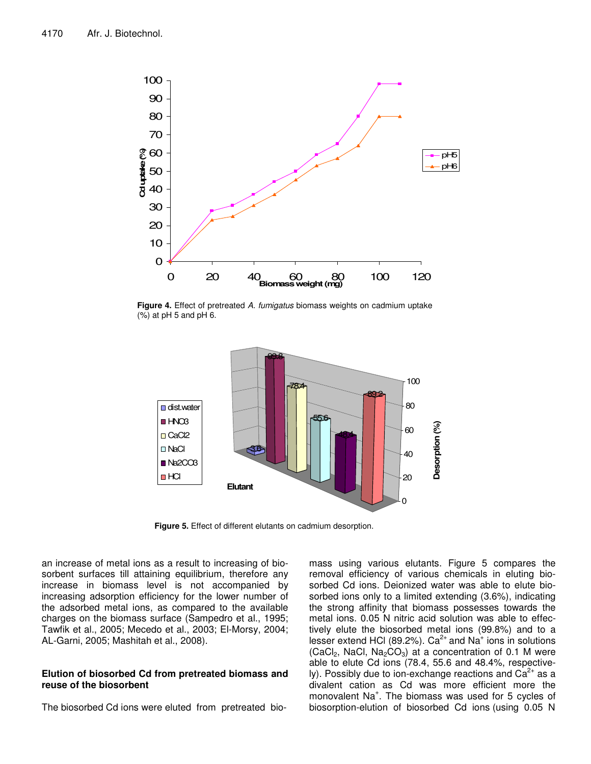

**Figure 4.** Effect of pretreated *A. fumigatus* biomass weights on cadmium uptake (%) at pH 5 and pH 6.



**Figure 5.** Effect of different elutants on cadmium desorption.

an increase of metal ions as a result to increasing of biosorbent surfaces till attaining equilibrium, therefore any increase in biomass level is not accompanied by increasing adsorption efficiency for the lower number of the adsorbed metal ions, as compared to the available charges on the biomass surface (Sampedro et al., 1995; Tawfik et al., 2005; Mecedo et al., 2003; El-Morsy, 2004; AL-Garni, 2005; Mashitah et al., 2008).

# **Elution of biosorbed Cd from pretreated biomass and reuse of the biosorbent**

The biosorbed Cd ions were eluted from pretreated bio-

mass using various elutants. Figure 5 compares the removal efficiency of various chemicals in eluting biosorbed Cd ions. Deionized water was able to elute biosorbed ions only to a limited extending (3.6%), indicating the strong affinity that biomass possesses towards the metal ions. 0.05 N nitric acid solution was able to effectively elute the biosorbed metal ions (99.8%) and to a lesser extend HCI (89.2%). Ca<sup>2+</sup> and Na<sup>+</sup> ions in solutions (CaCl<sub>2</sub>, NaCl, Na<sub>2</sub>CO<sub>3</sub>) at a concentration of 0.1 M were able to elute Cd ions (78.4, 55.6 and 48.4%, respectively). Possibly due to ion-exchange reactions and  $Ca^{2+}$  as a divalent cation as Cd was more efficient more the monovalent Na<sup>+</sup>. The biomass was used for 5 cycles of biosorption-elution of biosorbed Cd ions (using 0.05 N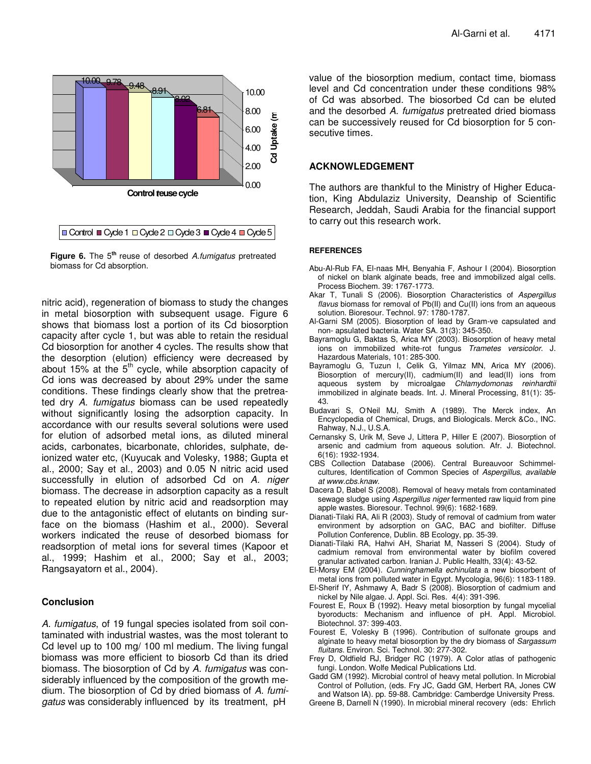

**Figure 6.** The 5<sup>th</sup> reuse of desorbed A.fumigatus pretreated biomass for Cd absorption.

nitric acid), regeneration of biomass to study the changes in metal biosorption with subsequent usage. Figure 6 shows that biomass lost a portion of its Cd biosorption capacity after cycle 1, but was able to retain the residual Cd biosorption for another 4 cycles. The results show that the desorption (elution) efficiency were decreased by about 15% at the 5<sup>th</sup> cycle, while absorption capacity of Cd ions was decreased by about 29% under the same conditions. These findings clearly show that the pretreated dry *A. fumigatus* biomass can be used repeatedly without significantly losing the adsorption capacity. In accordance with our results several solutions were used for elution of adsorbed metal ions, as diluted mineral acids, carbonates, bicarbonate, chlorides, sulphate, deionized water etc, (Kuyucak and Volesky, 1988; Gupta et al., 2000; Say et al., 2003) and 0.05 N nitric acid used successfully in elution of adsorbed Cd on *A. niger* biomass. The decrease in adsorption capacity as a result to repeated elution by nitric acid and readsorption may due to the antagonistic effect of elutants on binding surface on the biomass (Hashim et al., 2000). Several workers indicated the reuse of desorbed biomass for readsorption of metal ions for several times (Kapoor et al., 1999; Hashim et al., 2000; Say et al., 2003; Rangsayatorn et al., 2004).

# **Conclusion**

*A. fumigatus*, of 19 fungal species isolated from soil contaminated with industrial wastes, was the most tolerant to Cd level up to 100 mg/ 100 ml medium. The living fungal biomass was more efficient to biosorb Cd than its dried biomass. The biosorption of Cd by *A. fumigatus* was considerably influenced by the composition of the growth medium. The biosorption of Cd by dried biomass of *A. fumigatus* was considerably influenced by its treatment, pH

value of the biosorption medium, contact time, biomass level and Cd concentration under these conditions 98% of Cd was absorbed. The biosorbed Cd can be eluted and the desorbed *A. fumigatus* pretreated dried biomass can be successively reused for Cd biosorption for 5 consecutive times.

# **ACKNOWLEDGEMENT**

The authors are thankful to the Ministry of Higher Education, King Abdulaziz University, Deanship of Scientific Research, Jeddah, Saudi Arabia for the financial support to carry out this research work.

#### **REFERENCES**

- Abu-Al-Rub FA, El-naas MH, Benyahia F, Ashour I (2004). Biosorption of nickel on blank alginate beads, free and immobilized algal cells. Process Biochem. 39: 1767-1773.
- Akar T, Tunali S (2006). Biosorption Characteristics of *Aspergillus flavus* biomass for removal of Pb(II) and Cu(II) ions from an aqueous solution. Bioresour. Technol. 97: 1780-1787.
- Al-Garni SM (2005). Biosorption of lead by Gram-ve capsulated and non- apsulated bacteria. Water SA. 31(3): 345-350.
- Bayramoglu G, Baktas S, Arica MY (2003). Biosorption of heavy metal ions on immobilized white-rot fungus *Trametes versicolor*. J. Hazardous Materials, 101: 285-300.
- Bayramoglu G, Tuzun I, Celik G, Yilmaz MN, Arica MY (2006). Biosorption of mercury(II), cadmium(II) and lead(II) ions from aqueous system by microalgae *Chlamydomonas reinhardtii* immobilized in alginate beads. Int. J. Mineral Processing, 81(1): 35- 43.
- Budavari S, O'Neil MJ, Smith A (1989). The Merck index, An Encyclopedia of Chemical, Drugs, and Biologicals. Merck &Co., INC. Rahway, N.J., U.S.A.
- Cernansky S, Urik M, Seve J, Littera P, Hiller E (2007). Biosorption of arsenic and cadmium from aqueous solution. Afr. J. Biotechnol. 6(16): 1932-1934.
- CBS Collection Database (2006). Central Bureauvoor Schimmelcultures, Identification of Common Species of *Aspergillus*, *available at www.cbs.knaw*.
- Dacera D, Babel S (2008). Removal of heavy metals from contaminated sewage sludge using *Aspergillus niger* fermented raw liquid from pine apple wastes. Bioresour. Technol. 99(6): 1682-1689.
- Dianati-Tilaki RA, Ali R (2003). Study of removal of cadmium from water environment by adsorption on GAC, BAC and biofilter. Diffuse Pollution Conference, Dublin. 8B Ecology, pp. 35-39.
- Dianati-Tilaki RA, Hahvi AH, Shariat M, Nasseri S (2004). Study of cadmium removal from environmental water by biofilm covered granular activated carbon. Iranian J. Public Health, 33(4): 43-52.
- El-Morsy EM (2004). *Cunninghamella echinulata* a new biosorbent of metal ions from polluted water in Egypt. Mycologia, 96(6): 1183-1189.
- El-Sherif IY, Ashmawy A, Badr S (2008). Biosorption of cadmium and nickel by Nile algae. J. Appl. Sci. Res. 4(4): 391-396.
- Fourest E, Roux B (1992). Heavy metal biosorption by fungal mycelial byoroducts: Mechanism and influence of pH. Appl. Microbiol. Biotechnol. 37: 399-403.
- Fourest E, Volesky B (1996). Contribution of sulfonate groups and alginate to heavy metal biosorption by the dry biomass of *Sargassum fluitans.* Environ. Sci. Technol. 30: 277-302.
- Frey D, Oldfield RJ, Bridger RC (1979). A Color atlas of pathogenic fungi. London. Wolfe Medical Publications Ltd.
- Gadd GM (1992). Microbial control of heavy metal pollution. In Microbial Control of Pollution, (eds. Fry JC, Gadd GM, Herbert RA, Jones CW and Watson IA). pp. 59-88. Cambridge: Camberdge University Press. Greene B, Darnell N (1990). In microbial mineral recovery (eds: Ehrlich